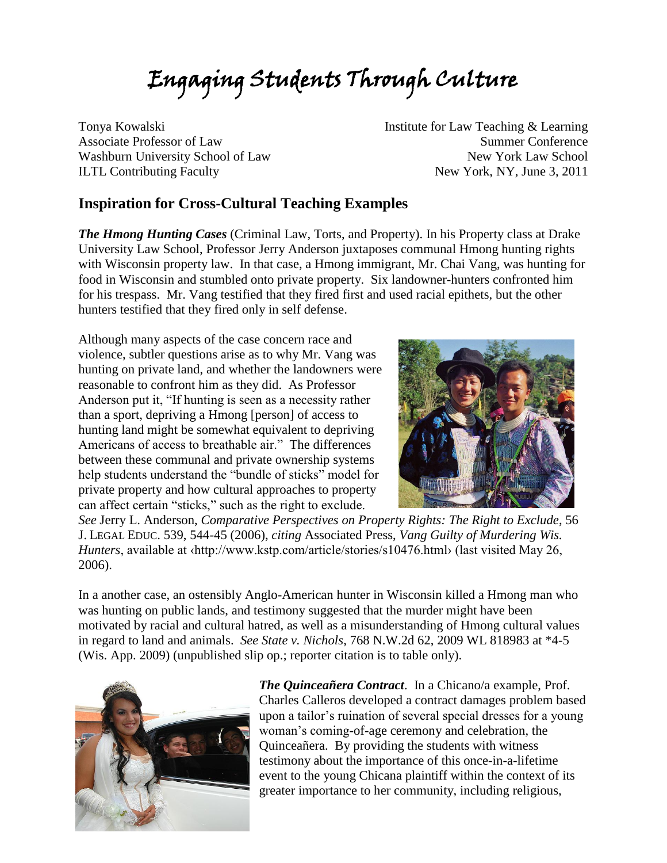# Engaging Students Through Culture

Tonya Kowalski Associate Professor of Law Washburn University School of Law ILTL Contributing Faculty

Institute for Law Teaching & Learning Summer Conference New York Law School New York, NY, June 3, 2011

#### **Inspiration for Cross-Cultural Teaching Examples**

*The Hmong Hunting Cases* (Criminal Law, Torts, and Property). In his Property class at Drake University Law School, Professor Jerry Anderson juxtaposes communal Hmong hunting rights with Wisconsin property law. In that case, a Hmong immigrant, Mr. Chai Vang, was hunting for food in Wisconsin and stumbled onto private property. Six landowner-hunters confronted him for his trespass. Mr. Vang testified that they fired first and used racial epithets, but the other hunters testified that they fired only in self defense.

Although many aspects of the case concern race and violence, subtler questions arise as to why Mr. Vang was hunting on private land, and whether the landowners were reasonable to confront him as they did. As Professor Anderson put it, "If hunting is seen as a necessity rather than a sport, depriving a Hmong [person] of access to hunting land might be somewhat equivalent to depriving Americans of access to breathable air." The differences between these communal and private ownership systems help students understand the "bundle of sticks" model for private property and how cultural approaches to property can affect certain "sticks," such as the right to exclude.



*See* Jerry L. Anderson, *Comparative Perspectives on Property Rights: The Right to Exclude*, 56 J. LEGAL EDUC. 539, 544-45 (2006), *citing* Associated Press, *Vang Guilty of Murdering Wis. Hunters*, available at *{http://www.kstp.com/article/stories/s10476.html>* (last visited May 26, 2006).

In a another case, an ostensibly Anglo-American hunter in Wisconsin killed a Hmong man who was hunting on public lands, and testimony suggested that the murder might have been motivated by racial and cultural hatred, as well as a misunderstanding of Hmong cultural values in regard to land and animals. *See State v. Nichols*, 768 N.W.2d 62, 2009 WL 818983 at \*4-5 (Wis. App. 2009) (unpublished slip op.; reporter citation is to table only).



*The Quinceañera Contract*. In a Chicano/a example, Prof. Charles Calleros developed a contract damages problem based upon a tailor's ruination of several special dresses for a young woman's coming-of-age ceremony and celebration, the Quinceañera. By providing the students with witness testimony about the importance of this once-in-a-lifetime event to the young Chicana plaintiff within the context of its greater importance to her community, including religious,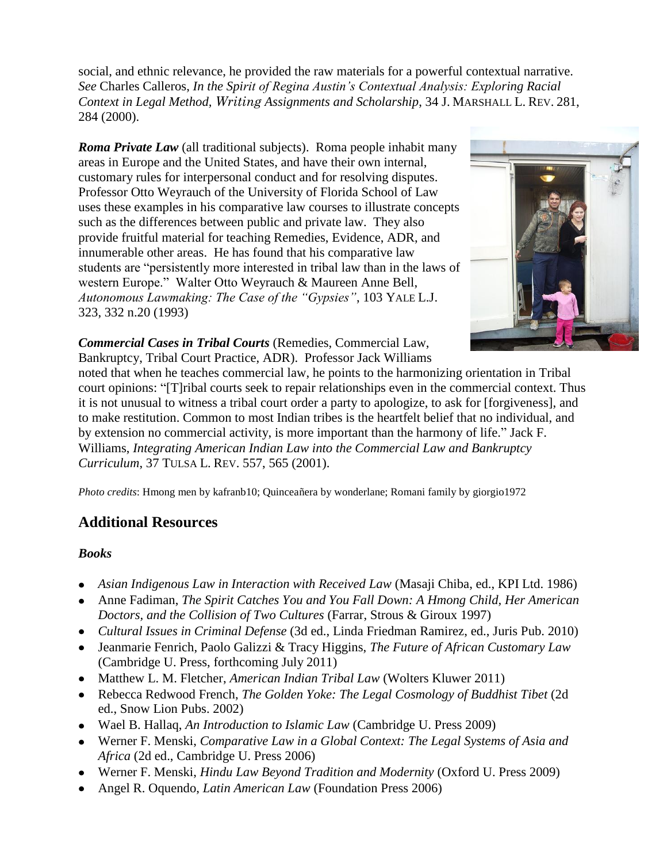social, and ethnic relevance, he provided the raw materials for a powerful contextual narrative. *See* Charles Calleros, *In the Spirit of Regina Austin's Contextual Analysis: Exploring Racial Context in Legal Method, Writing Assignments and Scholarship*, 34 J. MARSHALL L. REV. 281, 284 (2000).

*Roma Private Law* (all traditional subjects). Roma people inhabit many areas in Europe and the United States, and have their own internal, customary rules for interpersonal conduct and for resolving disputes. Professor Otto Weyrauch of the University of Florida School of Law uses these examples in his comparative law courses to illustrate concepts such as the differences between public and private law. They also provide fruitful material for teaching Remedies, Evidence, ADR, and innumerable other areas. He has found that his comparative law students are "persistently more interested in tribal law than in the laws of western Europe." Walter Otto Weyrauch & Maureen Anne Bell, *Autonomous Lawmaking: The Case of the "Gypsies"*, 103 YALE L.J. 323, 332 n.20 (1993)



*Commercial Cases in Tribal Courts* (Remedies, Commercial Law, Bankruptcy, Tribal Court Practice, ADR). Professor Jack Williams

noted that when he teaches commercial law, he points to the harmonizing orientation in Tribal court opinions: "[T]ribal courts seek to repair relationships even in the commercial context. Thus it is not unusual to witness a tribal court order a party to apologize, to ask for [forgiveness], and to make restitution. Common to most Indian tribes is the heartfelt belief that no individual, and by extension no commercial activity, is more important than the harmony of life." Jack F. Williams, *Integrating American Indian Law into the Commercial Law and Bankruptcy Curriculum*, 37 TULSA L. REV. 557, 565 (2001).

*Photo credits*: Hmong men by kafranb10; Quinceañera by wonderlane; Romani family by giorgio1972

# **Additional Resources**

#### *Books*

- *Asian Indigenous Law in Interaction with Received Law* (Masaji Chiba, ed., KPI Ltd. 1986)
- Anne Fadiman, *The Spirit Catches You and You Fall Down: A Hmong Child, Her American Doctors, and the Collision of Two Cultures* (Farrar, Strous & Giroux 1997)
- *Cultural Issues in Criminal Defense* (3d ed., Linda Friedman Ramirez, ed., Juris Pub. 2010)
- Jeanmarie Fenrich, Paolo Galizzi & Tracy Higgins, *The Future of African Customary Law* (Cambridge U. Press, forthcoming July 2011)
- Matthew L. M. Fletcher, *American Indian Tribal Law* (Wolters Kluwer 2011)
- Rebecca Redwood French, *The Golden Yoke: The Legal Cosmology of Buddhist Tibet* (2d ed., Snow Lion Pubs. 2002)
- Wael B. Hallaq, *An Introduction to Islamic Law* (Cambridge U. Press 2009)
- Werner F. Menski, *Comparative Law in a Global Context: The Legal Systems of Asia and Africa* (2d ed., Cambridge U. Press 2006)
- Werner F. Menski, *Hindu Law Beyond Tradition and Modernity* (Oxford U. Press 2009)
- Angel R. Oquendo, *Latin American Law* (Foundation Press 2006)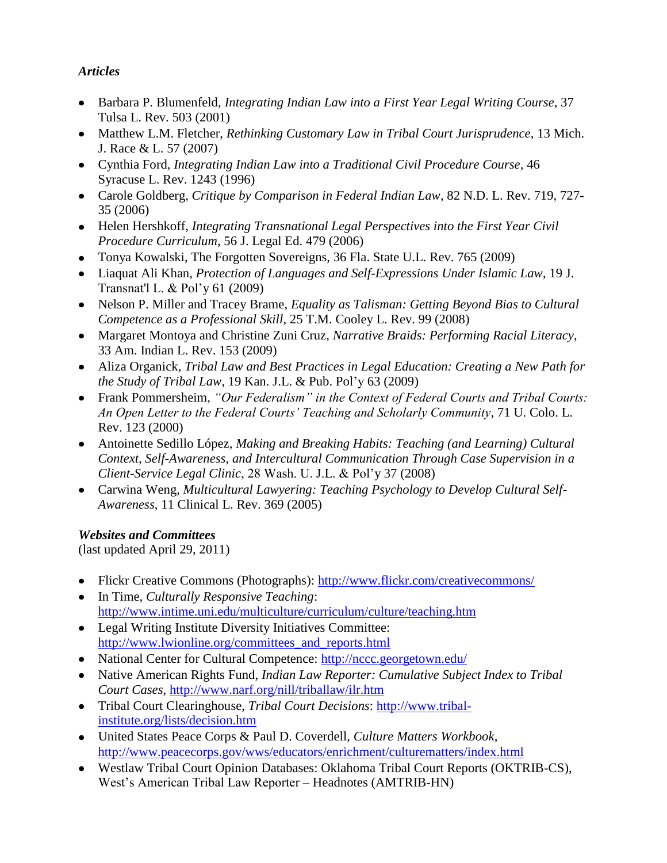### *Articles*

- Barbara P. Blumenfeld, *Integrating Indian Law into a First Year Legal Writing Course*, 37 Tulsa L. Rev. 503 (2001)
- Matthew L.M. Fletcher, *Rethinking Customary Law in Tribal Court Jurisprudence*, 13 Mich. J. Race & L. 57 (2007)
- Cynthia Ford, *Integrating Indian Law into a Traditional Civil Procedure Course*, 46 Syracuse L. Rev. 1243 (1996)
- Carole Goldberg, *Critique by Comparison in Federal Indian Law*, 82 N.D. L. Rev. 719, 727- 35 (2006)
- Helen Hershkoff, *Integrating Transnational Legal Perspectives into the First Year Civil Procedure Curriculum*, 56 J. Legal Ed. 479 (2006)
- Tonya Kowalski, The Forgotten Sovereigns, 36 Fla. State U.L. Rev. 765 (2009)
- Liaquat Ali Khan, *Protection of Languages and Self-Expressions Under Islamic Law*, 19 J. Transnat'l L. & Pol'y 61 (2009)
- Nelson P. Miller and Tracey Brame, *Equality as Talisman: Getting Beyond Bias to Cultural Competence as a Professional Skill*, 25 T.M. Cooley L. Rev. 99 (2008)
- Margaret Montoya and Christine Zuni Cruz, *Narrative Braids: Performing Racial Literacy*, 33 Am. Indian L. Rev. 153 (2009)
- Aliza Organick, *Tribal Law and Best Practices in Legal Education: Creating a New Path for the Study of Tribal Law*, 19 Kan. J.L. & Pub. Pol'y 63 (2009)
- Frank Pommersheim, *"Our Federalism" in the Context of Federal Courts and Tribal Courts: An Open Letter to the Federal Courts' Teaching and Scholarly Community*, 71 U. Colo. L. Rev. 123 (2000)
- Antoinette Sedillo López, *Making and Breaking Habits: Teaching (and Learning) Cultural Context, Self-Awareness, and Intercultural Communication Through Case Supervision in a Client-Service Legal Clinic*, 28 Wash. U. J.L. & Pol'y 37 (2008)
- Carwina Weng, *Multicultural Lawyering: Teaching Psychology to Develop Cultural Self-Awareness*, 11 Clinical L. Rev. 369 (2005)

## *Websites and Committees*

(last updated April 29, 2011)

- Flickr Creative Commons (Photographs):<http://www.flickr.com/creativecommons/>
- In Time, *Culturally Responsive Teaching*: <http://www.intime.uni.edu/multiculture/curriculum/culture/teaching.htm>
- Legal Writing Institute Diversity Initiatives Committee: [http://www.lwionline.org/committees\\_and\\_reports.html](http://www.lwionline.org/committees_and_reports.html)
- National Center for Cultural Competence:<http://nccc.georgetown.edu/>
- Native American Rights Fund, *Indian Law Reporter: Cumulative Subject Index to Tribal Court Cases*,<http://www.narf.org/nill/triballaw/ilr.htm>
- Tribal Court Clearinghouse, *Tribal Court Decisions*: [http://www.tribal](http://www.tribal-institute.org/lists/decision.htm)[institute.org/lists/decision.htm](http://www.tribal-institute.org/lists/decision.htm)
- United States Peace Corps & Paul D. Coverdell, *Culture Matters Workbook*, <http://www.peacecorps.gov/wws/educators/enrichment/culturematters/index.html>
- Westlaw Tribal Court Opinion Databases: Oklahoma Tribal Court Reports (OKTRIB-CS), West's American Tribal Law Reporter – Headnotes (AMTRIB-HN)